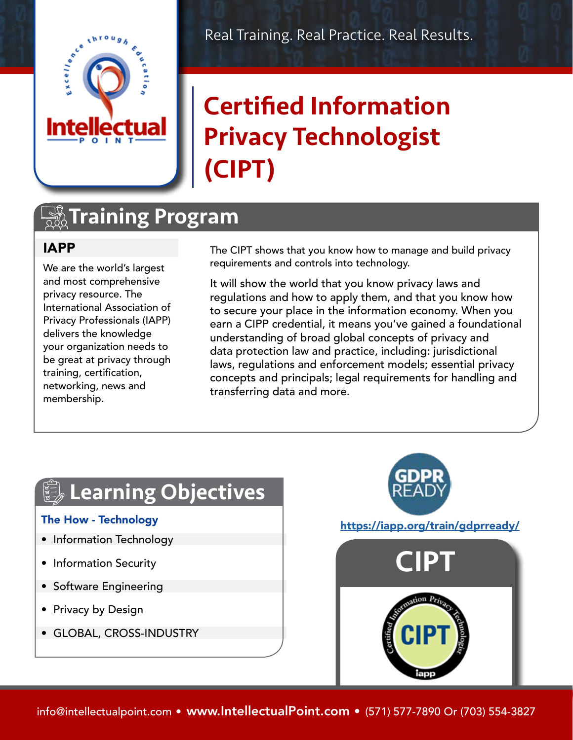

#### Real Training. Real Practice. Real Results.

# Certified Information Privacy Technologist (CIPT)

## **TA Training Program**

#### IAPP

We are the world's largest and most comprehensive privacy resource. The International Association of Privacy Professionals (IAPP) delivers the knowledge your organization needs to be great at privacy through training, certification, networking, news and membership.

The CIPT shows that you know how to manage and build privacy requirements and controls into technology.

It will show the world that you know privacy laws and regulations and how to apply them, and that you know how to secure your place in the information economy. When you earn a CIPP credential, it means you've gained a foundational understanding of broad global concepts of privacy and data protection law and practice, including: jurisdictional laws, regulations and enforcement models; essential privacy concepts and principals; legal requirements for handling and transferring data and more.

# **Learning Objectives**

#### The How - Technology

- Information Technology
- Information Security
- Software Engineering
- Privacy by Design
- GLOBAL, CROSS-INDUSTRY